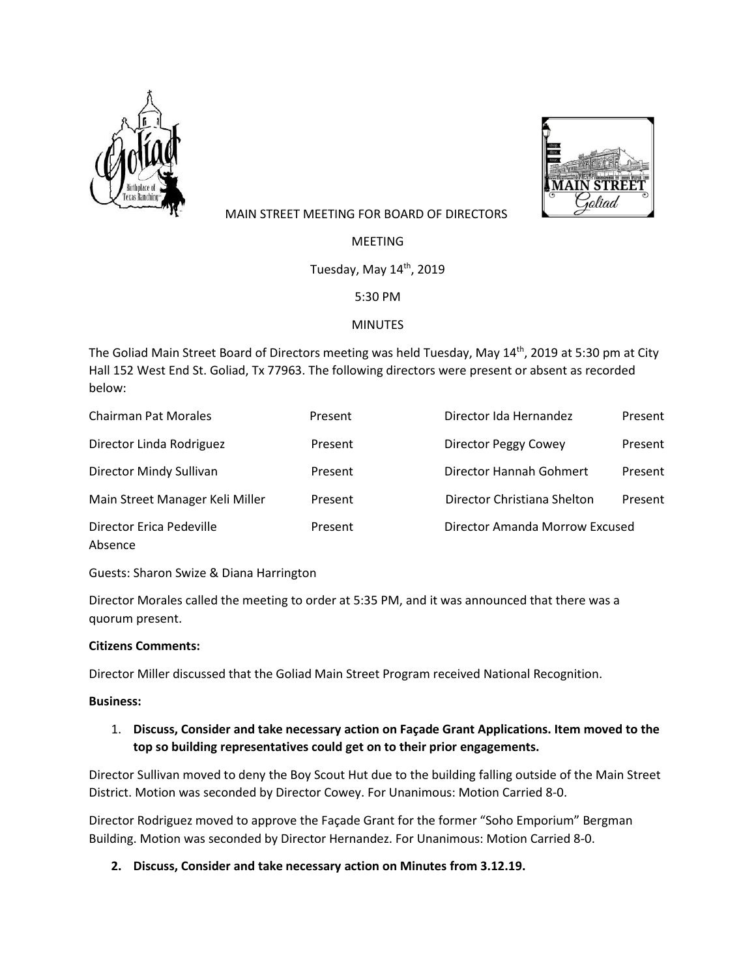



# MAIN STREET MEETING FOR BOARD OF DIRECTORS

**MFFTING** 

Tuesday, May 14<sup>th</sup>, 2019

5:30 PM

## MINUTES

The Goliad Main Street Board of Directors meeting was held Tuesday, May 14<sup>th</sup>, 2019 at 5:30 pm at City Hall 152 West End St. Goliad, Tx 77963. The following directors were present or absent as recorded below:

| <b>Chairman Pat Morales</b>         | Present | Director Ida Hernandez         | Present |
|-------------------------------------|---------|--------------------------------|---------|
| Director Linda Rodriguez            | Present | Director Peggy Cowey           | Present |
| Director Mindy Sullivan             | Present | Director Hannah Gohmert        | Present |
| Main Street Manager Keli Miller     | Present | Director Christiana Shelton    | Present |
| Director Erica Pedeville<br>Absence | Present | Director Amanda Morrow Excused |         |

Guests: Sharon Swize & Diana Harrington

Director Morales called the meeting to order at 5:35 PM, and it was announced that there was a quorum present.

## **Citizens Comments:**

Director Miller discussed that the Goliad Main Street Program received National Recognition.

### **Business:**

## 1. **Discuss, Consider and take necessary action on Façade Grant Applications. Item moved to the top so building representatives could get on to their prior engagements.**

Director Sullivan moved to deny the Boy Scout Hut due to the building falling outside of the Main Street District. Motion was seconded by Director Cowey. For Unanimous: Motion Carried 8-0.

Director Rodriguez moved to approve the Façade Grant for the former "Soho Emporium" Bergman Building. Motion was seconded by Director Hernandez. For Unanimous: Motion Carried 8-0.

**2. Discuss, Consider and take necessary action on Minutes from 3.12.19.**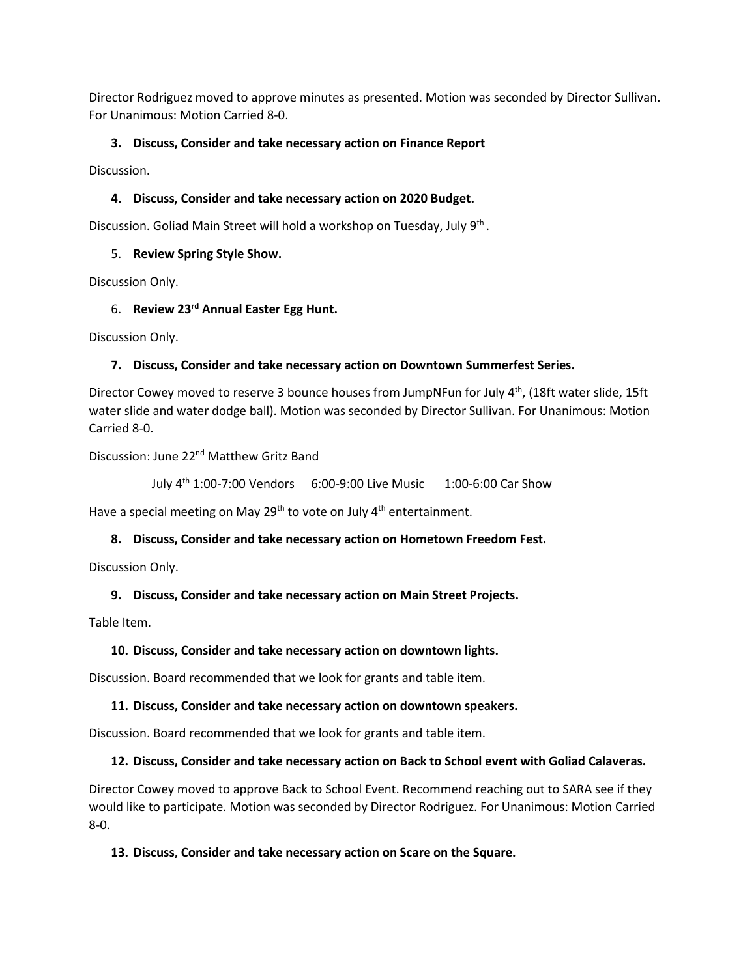Director Rodriguez moved to approve minutes as presented. Motion was seconded by Director Sullivan. For Unanimous: Motion Carried 8-0.

## **3. Discuss, Consider and take necessary action on Finance Report**

Discussion.

### **4. Discuss, Consider and take necessary action on 2020 Budget.**

Discussion. Goliad Main Street will hold a workshop on Tuesday, July 9<sup>th</sup>.

### 5. **Review Spring Style Show.**

Discussion Only.

## 6. **Review 23rd Annual Easter Egg Hunt.**

Discussion Only.

## **7. Discuss, Consider and take necessary action on Downtown Summerfest Series.**

Director Cowey moved to reserve 3 bounce houses from JumpNFun for July 4<sup>th</sup>, (18ft water slide, 15ft water slide and water dodge ball). Motion was seconded by Director Sullivan. For Unanimous: Motion Carried 8-0.

Discussion: June 22nd Matthew Gritz Band

July 4th 1:00-7:00 Vendors 6:00-9:00 Live Music 1:00-6:00 Car Show

Have a special meeting on May 29<sup>th</sup> to vote on July  $4<sup>th</sup>$  entertainment.

### **8. Discuss, Consider and take necessary action on Hometown Freedom Fest.**

Discussion Only.

### **9. Discuss, Consider and take necessary action on Main Street Projects.**

Table Item.

### **10. Discuss, Consider and take necessary action on downtown lights.**

Discussion. Board recommended that we look for grants and table item.

### **11. Discuss, Consider and take necessary action on downtown speakers.**

Discussion. Board recommended that we look for grants and table item.

### **12. Discuss, Consider and take necessary action on Back to School event with Goliad Calaveras.**

Director Cowey moved to approve Back to School Event. Recommend reaching out to SARA see if they would like to participate. Motion was seconded by Director Rodriguez. For Unanimous: Motion Carried 8-0.

### **13. Discuss, Consider and take necessary action on Scare on the Square.**